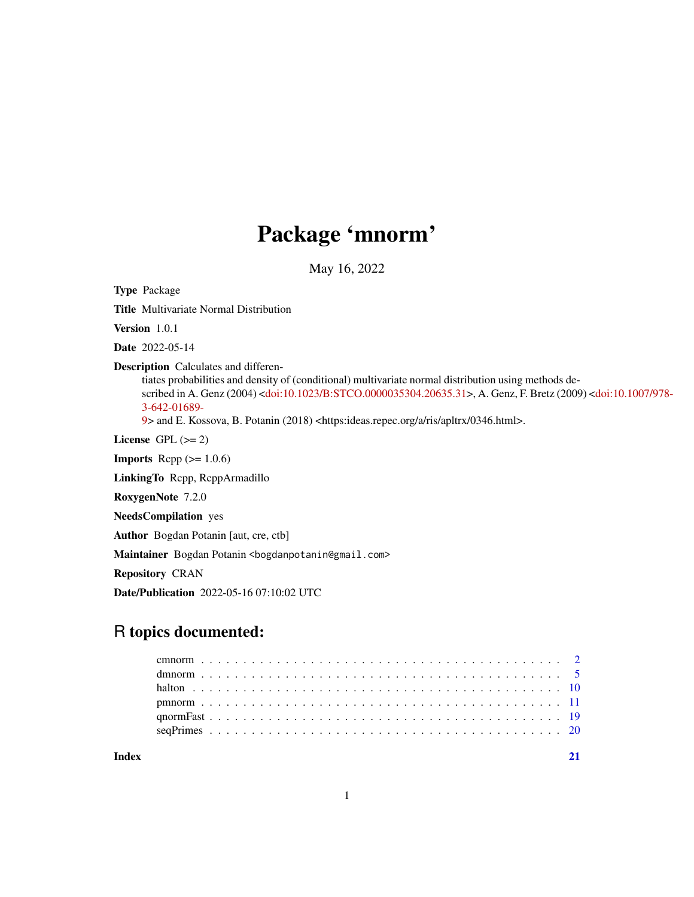## Package 'mnorm'

May 16, 2022

Type Package

Title Multivariate Normal Distribution

Version 1.0.1

Date 2022-05-14

Description Calculates and differen-

tiates probabilities and density of (conditional) multivariate normal distribution using methods described in A. Genz (2004) [<doi:10.1023/B:STCO.0000035304.20635.31>](https://doi.org/10.1023/B:STCO.0000035304.20635.31), A. Genz, F. Bretz (200[9\) <](https://doi.org/10.1007/978-3-642-01689-9)doi:10.1007/978- [3-642-01689-](https://doi.org/10.1007/978-3-642-01689-9)

[9>](https://doi.org/10.1007/978-3-642-01689-9) and E. Kossova, B. Potanin (2018) <https:ideas.repec.org/a/ris/apltrx/0346.html>.

License GPL  $(>= 2)$ 

**Imports** Rcpp  $(>= 1.0.6)$ 

LinkingTo Rcpp, RcppArmadillo

RoxygenNote 7.2.0

NeedsCompilation yes

Author Bogdan Potanin [aut, cre, ctb]

Maintainer Bogdan Potanin <br/>bogdanpotanin@gmail.com>

Repository CRAN

Date/Publication 2022-05-16 07:10:02 UTC

## R topics documented:

| Index |  |  |  |  |  |  |  |  |  |  |  |  |  |  |  |  |  |  |  |  |  |  |  |
|-------|--|--|--|--|--|--|--|--|--|--|--|--|--|--|--|--|--|--|--|--|--|--|--|
|       |  |  |  |  |  |  |  |  |  |  |  |  |  |  |  |  |  |  |  |  |  |  |  |
|       |  |  |  |  |  |  |  |  |  |  |  |  |  |  |  |  |  |  |  |  |  |  |  |
|       |  |  |  |  |  |  |  |  |  |  |  |  |  |  |  |  |  |  |  |  |  |  |  |
|       |  |  |  |  |  |  |  |  |  |  |  |  |  |  |  |  |  |  |  |  |  |  |  |
|       |  |  |  |  |  |  |  |  |  |  |  |  |  |  |  |  |  |  |  |  |  |  |  |
|       |  |  |  |  |  |  |  |  |  |  |  |  |  |  |  |  |  |  |  |  |  |  |  |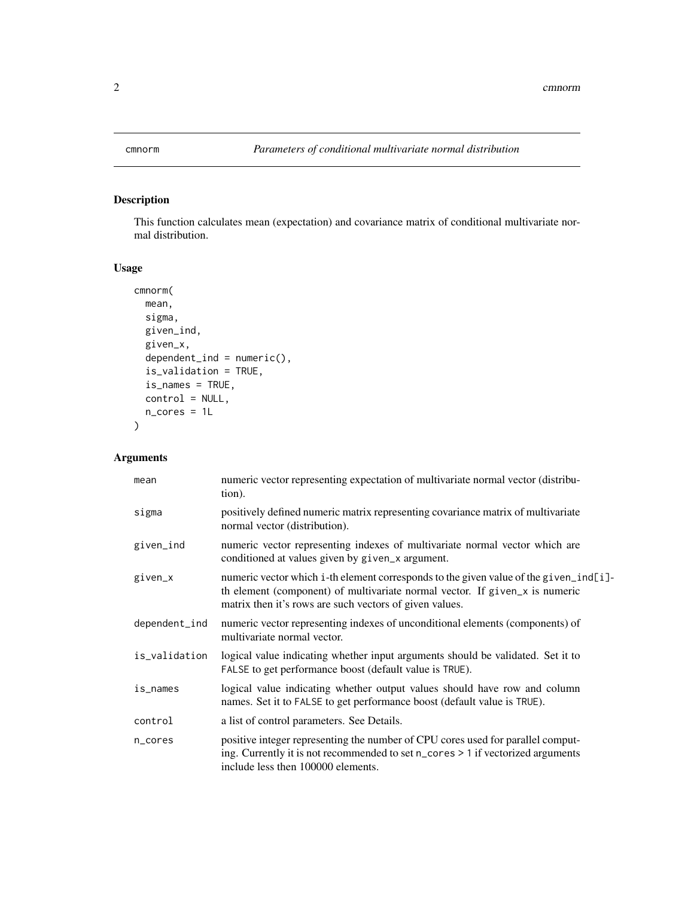<span id="page-1-1"></span><span id="page-1-0"></span>

### Description

This function calculates mean (expectation) and covariance matrix of conditional multivariate normal distribution.

#### Usage

```
cmnorm(
 mean,
 sigma,
 given_ind,
 given_x,
  dependent\_ind = numeric(),is_validation = TRUE,
  is_names = TRUE,
 control = NULL,
 n_cores = 1L
)
```
#### Arguments

| mean          | numeric vector representing expectation of multivariate normal vector (distribu-<br>tion).                                                                                                                                       |
|---------------|----------------------------------------------------------------------------------------------------------------------------------------------------------------------------------------------------------------------------------|
| sigma         | positively defined numeric matrix representing covariance matrix of multivariate<br>normal vector (distribution).                                                                                                                |
| given_ind     | numeric vector representing indexes of multivariate normal vector which are<br>conditioned at values given by given_x argument.                                                                                                  |
| given_x       | numeric vector which i-th element corresponds to the given value of the given ind [i]-<br>th element (component) of multivariate normal vector. If given_x is numeric<br>matrix then it's rows are such vectors of given values. |
| dependent_ind | numeric vector representing indexes of unconditional elements (components) of<br>multivariate normal vector.                                                                                                                     |
| is_validation | logical value indicating whether input arguments should be validated. Set it to<br>FALSE to get performance boost (default value is TRUE).                                                                                       |
| is_names      | logical value indicating whether output values should have row and column<br>names. Set it to FALSE to get performance boost (default value is TRUE).                                                                            |
| control       | a list of control parameters. See Details.                                                                                                                                                                                       |
| n_cores       | positive integer representing the number of CPU cores used for parallel comput-<br>ing. Currently it is not recommended to set n_cores > 1 if vectorized arguments<br>include less then 100000 elements.                         |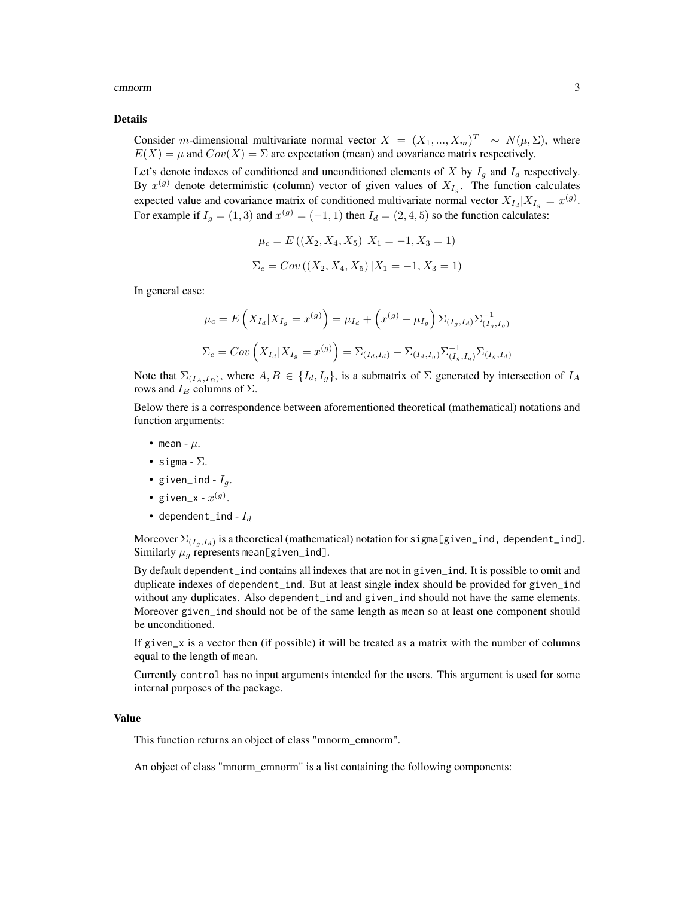#### cmnorm 3

#### Details

Consider *m*-dimensional multivariate normal vector  $X = (X_1, ..., X_m)^T \sim N(\mu, \Sigma)$ , where  $E(X) = \mu$  and  $Cov(X) = \Sigma$  are expectation (mean) and covariance matrix respectively.

Let's denote indexes of conditioned and unconditioned elements of X by  $I_g$  and  $I_d$  respectively. By  $x^{(g)}$  denote deterministic (column) vector of given values of  $X_{I_g}$ . The function calculates expected value and covariance matrix of conditioned multivariate normal vector  $X_{I_d}|X_{I_g} = x^{(g)}$ . For example if  $I_g = (1, 3)$  and  $x^{(g)} = (-1, 1)$  then  $I_d = (2, 4, 5)$  so the function calculates:

$$
\mu_c = E((X_2, X_4, X_5) | X_1 = -1, X_3 = 1)
$$
  

$$
\Sigma_c = Cov((X_2, X_4, X_5) | X_1 = -1, X_3 = 1)
$$

In general case:

$$
\mu_c = E\left(X_{I_d}|X_{I_g} = x^{(g)}\right) = \mu_{I_d} + \left(x^{(g)} - \mu_{I_g}\right)\Sigma_{(I_g, I_d)}\Sigma_{(I_g, I_g)}^{-1}
$$

$$
\Sigma_c = Cov\left(X_{I_d}|X_{I_g} = x^{(g)}\right) = \Sigma_{(I_d, I_d)} - \Sigma_{(I_d, I_g)}\Sigma_{(I_g, I_g)}^{-1}\Sigma_{(I_g, I_d)}
$$

Note that  $\Sigma_{(I_A,I_B)}$ , where  $A, B \in \{I_d, I_g\}$ , is a submatrix of  $\Sigma$  generated by intersection of  $I_A$ rows and  $I_B$  columns of  $\Sigma$ .

Below there is a correspondence between aforementioned theoretical (mathematical) notations and function arguments:

- mean  $\mu$ .
- sigma  $\Sigma$ .
- given\_ind  $I_q$ .
- given\_x  $x^{(g)}$ .
- dependent\_ind  $I_d$

Moreover  $\Sigma_{(I_g, I_d)}$  is a theoretical (mathematical) notation for sigma[given\_ind, dependent\_ind]. Similarly  $\mu_g$  represents mean[given\_ind].

By default dependent\_ind contains all indexes that are not in given\_ind. It is possible to omit and duplicate indexes of dependent\_ind. But at least single index should be provided for given\_ind without any duplicates. Also dependent\_ind and given\_ind should not have the same elements. Moreover given\_ind should not be of the same length as mean so at least one component should be unconditioned.

If given\_x is a vector then (if possible) it will be treated as a matrix with the number of columns equal to the length of mean.

Currently control has no input arguments intended for the users. This argument is used for some internal purposes of the package.

#### Value

This function returns an object of class "mnorm\_cmnorm".

An object of class "mnorm\_cmnorm" is a list containing the following components: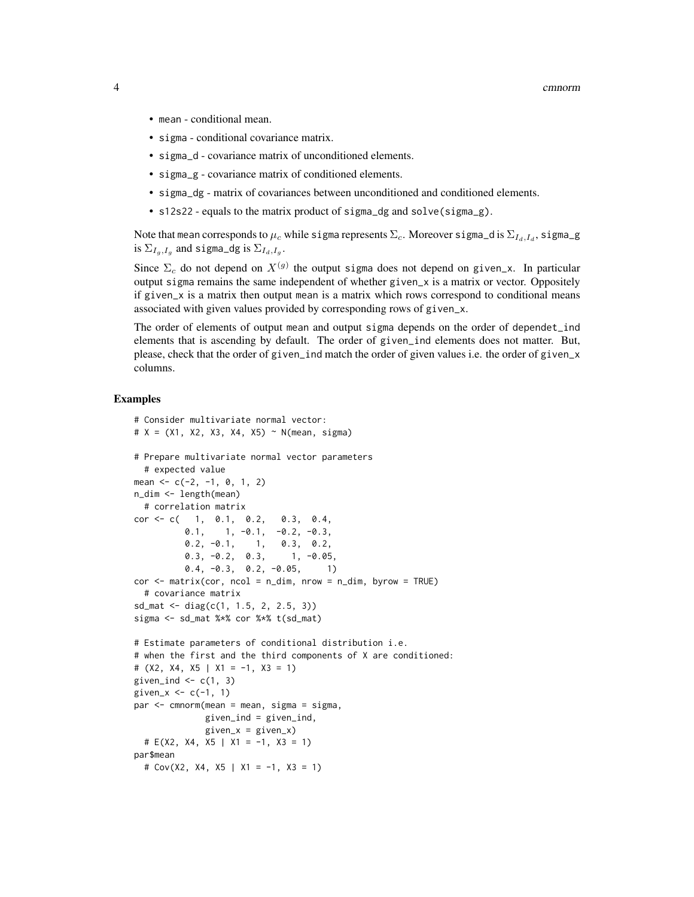- mean conditional mean.
- sigma conditional covariance matrix.
- sigma\_d covariance matrix of unconditioned elements.
- sigma\_g covariance matrix of conditioned elements.
- sigma\_dg matrix of covariances between unconditioned and conditioned elements.
- s12s22 equals to the matrix product of sigma\_dg and solve(sigma\_g).

Note that mean corresponds to  $\mu_c$  while sigma represents  $\Sigma_c$ . Moreover sigma\_d is  $\Sigma_{I_d,I_d},$  sigma\_g is  $\Sigma_{I_g,I_g}$  and sigma\_dg is  $\Sigma_{I_d,I_g}$ .

Since  $\Sigma_c$  do not depend on  $X^{(g)}$  the output sigma does not depend on given\_x. In particular output sigma remains the same independent of whether given\_x is a matrix or vector. Oppositely if given\_x is a matrix then output mean is a matrix which rows correspond to conditional means associated with given values provided by corresponding rows of given\_x.

The order of elements of output mean and output sigma depends on the order of dependet\_ind elements that is ascending by default. The order of given\_ind elements does not matter. But, please, check that the order of given\_ind match the order of given values i.e. the order of given\_x columns.

#### Examples

```
# Consider multivariate normal vector:
# X = (X1, X2, X3, X4, X5) ~ N(mean, sigma)# Prepare multivariate normal vector parameters
 # expected value
mean \leq -c(-2, -1, 0, 1, 2)n_dim <- length(mean)
 # correlation matrix
cor \leq c(-1, 0.1, 0.2, 0.3, 0.4,0.1, 1, -0.1, -0.2, -0.3,0.2, -0.1, 1, 0.3, 0.2,
          0.3, -0.2, 0.3, 1, -0.05,
         0.4, -0.3, 0.2, -0.05, 1)
cor < - matrix(cor, ncol = n_dim, nrow = n_dim, byrow = TRUE)
 # covariance matrix
sd_mat <- diag(c(1, 1.5, 2, 2.5, 3))
sigma <- sd_mat %*% cor %*% t(sd_mat)
# Estimate parameters of conditional distribution i.e.
# when the first and the third components of X are conditioned:
# (X2, X4, X5 | X1 = -1, X3 = 1)given_ind \leq c(1, 3)
given_x \leq -c(-1, 1)par <- cmnorm(mean = mean, sigma = sigma,
             given_ind = given_ind,
             given_x = given_x)# E(X2, X4, X5 | X1 = -1, X3 = 1)
par$mean
 # Cov(X2, X4, X5 | X1 = -1, X3 = 1)
```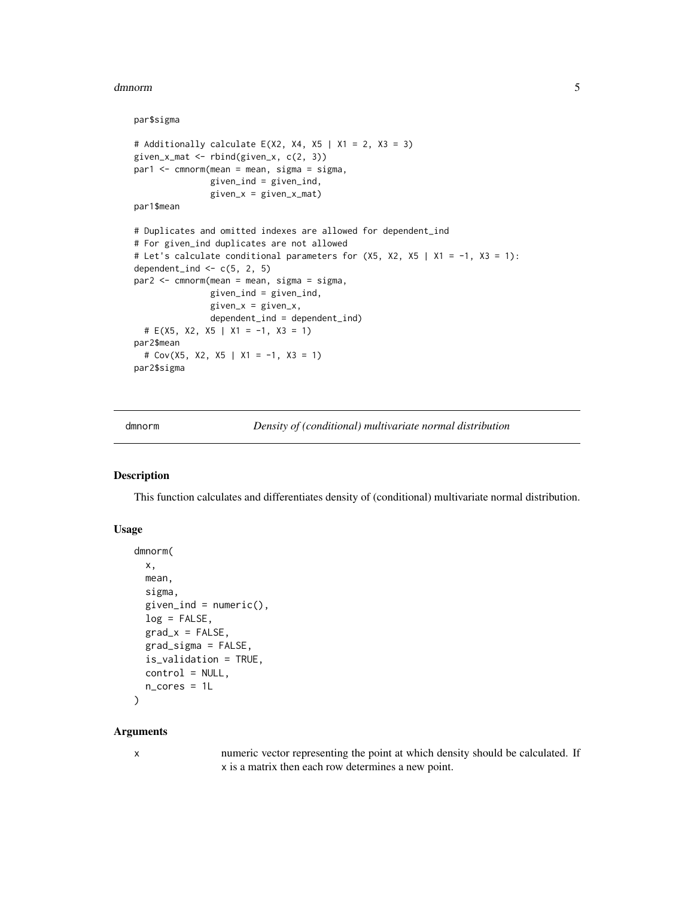#### <span id="page-4-0"></span>dmnorm 55 and 55 and 55 and 55 and 55 and 55 and 55 and 55 and 55 and 55 and 55 and 55 and 55 and 55 and 55 and 55 and 55 and 55 and 55 and 55 and 55 and 55 and 55 and 55 and 55 and 55 and 55 and 55 and 55 and 55 and 55 an

#### par\$sigma

```
# Additionally calculate E(X2, X4, X5 | X1 = 2, X3 = 3)given_x_mat <- rbind(given_x, c(2, 3))par1 <- cmnorm(mean = mean, sigma = sigma,
              given_ind = given_ind,
               given_x = given_x_matrixpar1$mean
# Duplicates and omitted indexes are allowed for dependent_ind
# For given_ind duplicates are not allowed
# Let's calculate conditional parameters for (X5, X2, X5 | X1 = -1, X3 = 1):
dependent_ind <- c(5, 2, 5)par2 <- cmnorm(mean = mean, sigma = sigma,
               given_ind = given_ind,
               given_x = given_x,dependent_ind = dependent_ind)
 # E(X5, X2, X5 | X1 = -1, X3 = 1)
par2$mean
 # Cov(X5, X2, X5 | X1 = -1, X3 = 1)
par2$sigma
```
dmnorm *Density of (conditional) multivariate normal distribution*

#### Description

This function calculates and differentiates density of (conditional) multivariate normal distribution.

#### Usage

```
dmnorm(
  x,
 mean,
  sigma,
  given\_ind = numeric(),log = FALSE,grad_x = FALSE,
  grad_sigma = FALSE,
  is_validation = TRUE,
 control = NULL,
 n_cores = 1L
)
```
#### Arguments

x numeric vector representing the point at which density should be calculated. If x is a matrix then each row determines a new point.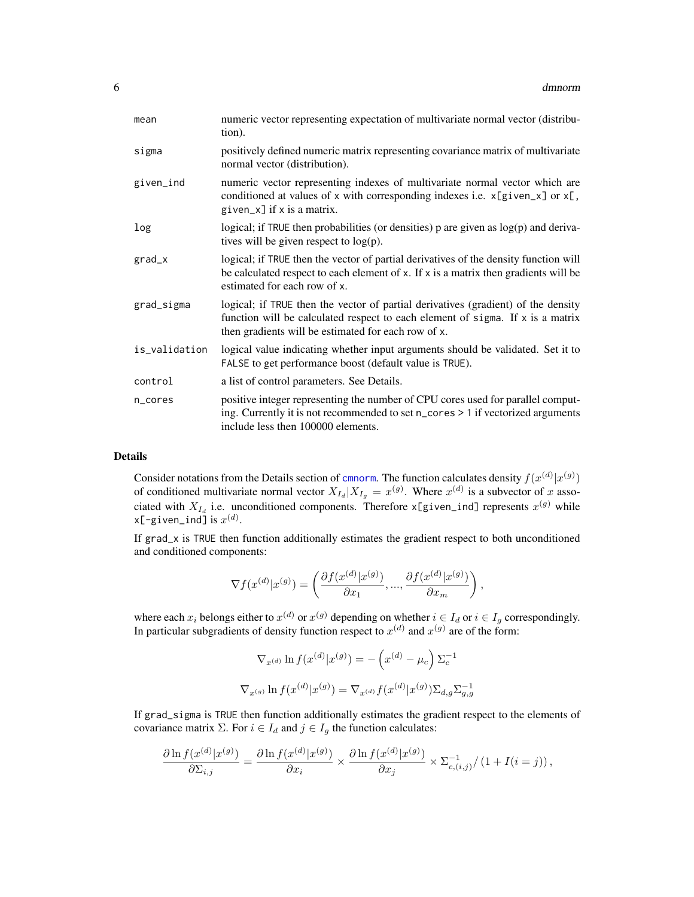<span id="page-5-0"></span>

| mean          | numeric vector representing expectation of multivariate normal vector (distribu-<br>tion).                                                                                                                                 |
|---------------|----------------------------------------------------------------------------------------------------------------------------------------------------------------------------------------------------------------------------|
| sigma         | positively defined numeric matrix representing covariance matrix of multivariate<br>normal vector (distribution).                                                                                                          |
| given_ind     | numeric vector representing indexes of multivariate normal vector which are<br>conditioned at values of x with corresponding indexes i.e. $x[given_x]$ or $x[,$<br>given_x] if x is a matrix.                              |
| log           | logical; if TRUE then probabilities (or densities) p are given as log(p) and deriva-<br>tives will be given respect to $log(p)$ .                                                                                          |
| $grad_x$      | logical; if TRUE then the vector of partial derivatives of the density function will<br>be calculated respect to each element of x. If x is a matrix then gradients will be<br>estimated for each row of x.                |
| grad_sigma    | logical; if TRUE then the vector of partial derivatives (gradient) of the density<br>function will be calculated respect to each element of sigma. If x is a matrix<br>then gradients will be estimated for each row of x. |
| is_validation | logical value indicating whether input arguments should be validated. Set it to<br>FALSE to get performance boost (default value is TRUE).                                                                                 |
| control       | a list of control parameters. See Details.                                                                                                                                                                                 |
| n_cores       | positive integer representing the number of CPU cores used for parallel comput-<br>ing. Currently it is not recommended to set n_cores > 1 if vectorized arguments<br>include less then 100000 elements.                   |

#### Details

Consider notations from the Details section of [cmnorm](#page-1-1). The function calculates density  $f(x^{(d)}|x^{(g)})$ of conditioned multivariate normal vector  $X_{I_d}|X_{I_g} = x^{(g)}$ . Where  $x^{(d)}$  is a subvector of x associated with  $X_{I_d}$  i.e. unconditioned components. Therefore  $x$ [given\_ind] represents  $x^{(g)}$  while <code>x[-given\_ind]</code> is  $x^{(d)}.$ 

If grad\_x is TRUE then function additionally estimates the gradient respect to both unconditioned and conditioned components:

$$
\nabla f(x^{(d)}|x^{(g)}) = \left(\frac{\partial f(x^{(d)}|x^{(g)})}{\partial x_1}, \dots, \frac{\partial f(x^{(d)}|x^{(g)})}{\partial x_m}\right),
$$

where each  $x_i$  belongs either to  $x^{(d)}$  or  $x^{(g)}$  depending on whether  $i \in I_d$  or  $i \in I_g$  correspondingly. In particular subgradients of density function respect to  $x^{(d)}$  and  $x^{(g)}$  are of the form:

$$
\nabla_{x^{(d)}} \ln f(x^{(d)} | x^{(g)}) = -\left(x^{(d)} - \mu_c\right) \Sigma_c^{-1}
$$
  

$$
\nabla_{x^{(g)}} \ln f(x^{(d)} | x^{(g)}) = \nabla_{x^{(d)}} f(x^{(d)} | x^{(g)}) \Sigma_{d,g} \Sigma_{g,g}^{-1}
$$

If grad\_sigma is TRUE then function additionally estimates the gradient respect to the elements of covariance matrix  $\Sigma$ . For  $i \in I_d$  and  $j \in I_g$  the function calculates:

$$
\frac{\partial \ln f(x^{(d)}|x^{(g)})}{\partial \Sigma_{i,j}} = \frac{\partial \ln f(x^{(d)}|x^{(g)})}{\partial x_i} \times \frac{\partial \ln f(x^{(d)}|x^{(g)})}{\partial x_j} \times \Sigma_{c,(i,j)}^{-1}/\left(1 + I(i=j)\right),
$$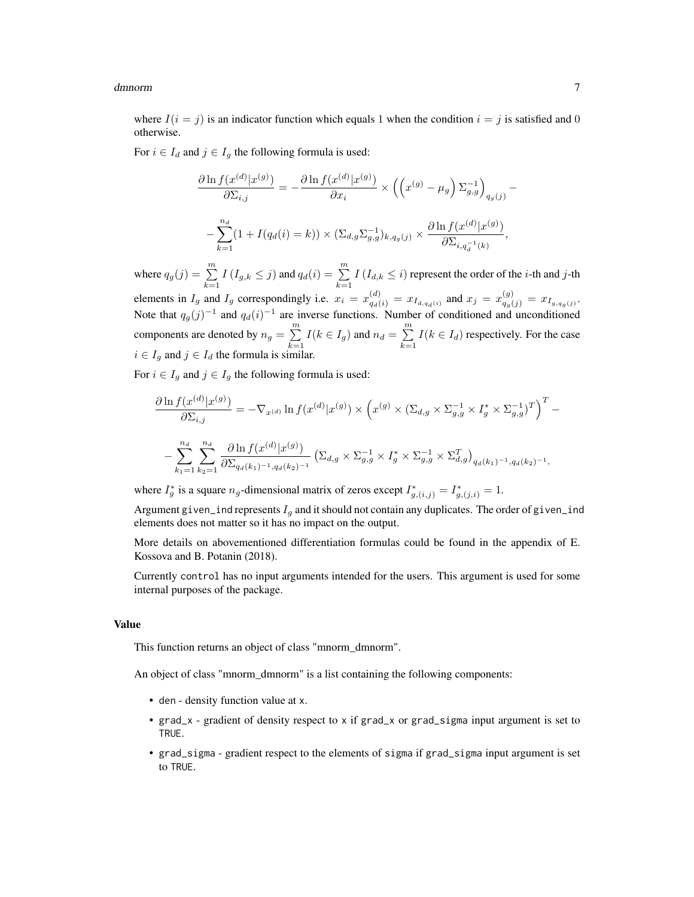where  $I(i = j)$  is an indicator function which equals 1 when the condition  $i = j$  is satisfied and 0 otherwise.

For  $i \in I_d$  and  $j \in I_g$  the following formula is used:

$$
\frac{\partial \ln f(x^{(d)}|x^{(g)})}{\partial \Sigma_{i,j}} = -\frac{\partial \ln f(x^{(d)}|x^{(g)})}{\partial x_i} \times \left( \left( x^{(g)} - \mu_g \right) \Sigma_{g,g}^{-1} \right)_{q_g(j)} - \frac{n_d}{\sum_{k=1}^{n_d} (1 + I(q_d(i) = k)) \times (\Sigma_{d,g} \Sigma_{g,g}^{-1})_{k,q_g(j)} \times \frac{\partial \ln f(x^{(d)}|x^{(g)})}{\partial \Sigma_{i,q_d^{-1}(k)}},
$$

where  $q_g(j) = \sum_{l=1}^{m} I(I_{g,k} \leq j)$  and  $q_d(i) = \sum_{l=1}^{m} I(I_{d,k} \leq i)$  represent the order of the *i*-th and *j*-th  $k=1$   $k=1$ 

elements in  $I_g$  and  $I_g$  correspondingly i.e.  $x_i = x_{q_d(i)}^{(d)} = x_{I_{d,q_d(i)}}$  and  $x_j = x_{q_g(j)}^{(g)} = x_{I_{g,q_g(j)}}$ . Note that  $q_g(j)^{-1}$  and  $q_d(i)^{-1}$  are inverse functions. Number of conditioned and unconditioned components are denoted by  $n_g = \sum_{m=1}^{m}$  $\sum_{k=1}^{m} I(k \in I_g)$  and  $n_d = \sum_{k=1}^{m}$  $\sum_{k=1} I(k \in I_d)$  respectively. For the case  $i \in I_g$  and  $j \in I_d$  the formula is similar.

For  $i \in I_g$  and  $j \in I_g$  the following formula is used:

$$
\frac{\partial \ln f(x^{(d)}|x^{(g)})}{\partial \Sigma_{i,j}} = -\nabla_{x^{(d)}} \ln f(x^{(d)}|x^{(g)}) \times \left(x^{(g)} \times (\Sigma_{d,g} \times \Sigma_{g,g}^{-1} \times I_g^* \times \Sigma_{g,g}^{-1})^T\right)^T - \frac{\sum_{k_1=1}^{nd} \sum_{k_2=1}^{nd} \frac{\partial \ln f(x^{(d)}|x^{(g)})}{\partial \Sigma_{q_d(k_1)^{-1},q_d(k_2)^{-1}}} \left(\Sigma_{d,g} \times \Sigma_{g,g}^{-1} \times I_g^* \times \Sigma_{g,g}^{-1} \times \Sigma_{d,g}^T\right)_{q_d(k_1)^{-1},q_d(k_2)^{-1},}
$$

where  $I_g^*$  is a square  $n_g$ -dimensional matrix of zeros except  $I_{g,(i,j)}^* = I_{g,(j,i)}^* = 1$ .

Argument given\_ind represents  $I<sub>g</sub>$  and it should not contain any duplicates. The order of given\_ind elements does not matter so it has no impact on the output.

More details on abovementioned differentiation formulas could be found in the appendix of E. Kossova and B. Potanin (2018).

Currently control has no input arguments intended for the users. This argument is used for some internal purposes of the package.

#### Value

This function returns an object of class "mnorm\_dmnorm".

An object of class "mnorm dmnorm" is a list containing the following components:

- den density function value at x.
- grad\_x gradient of density respect to x if grad\_x or grad\_sigma input argument is set to TRUE.
- grad\_sigma gradient respect to the elements of sigma if grad\_sigma input argument is set to TRUE.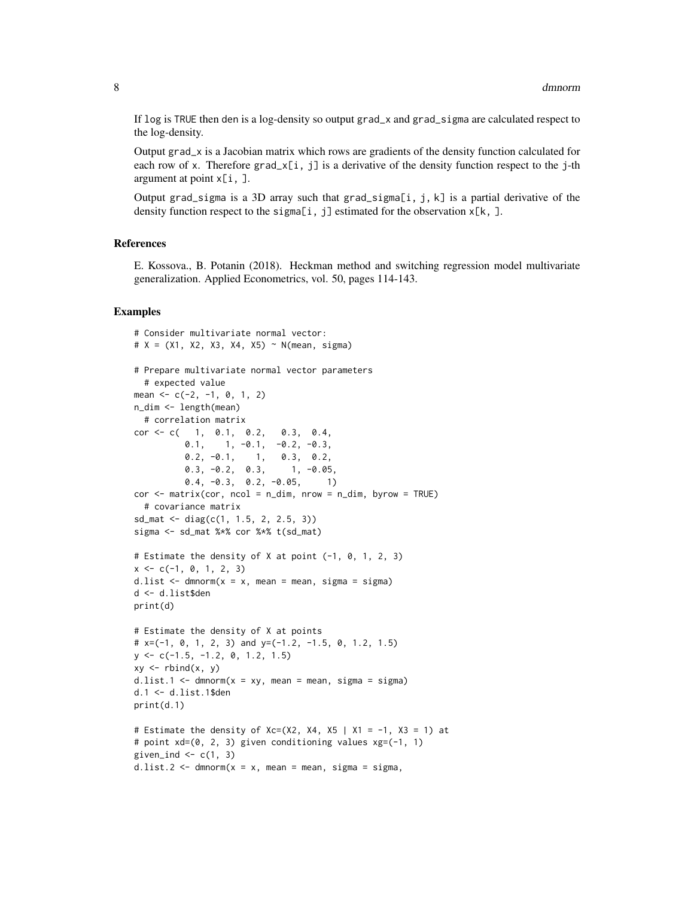If log is TRUE then den is a log-density so output grad\_x and grad\_sigma are calculated respect to the log-density.

Output grad\_x is a Jacobian matrix which rows are gradients of the density function calculated for each row of x. Therefore  $grad_x[i, j]$  is a derivative of the density function respect to the j-th argument at point x[i, ].

Output grad\_sigma is a 3D array such that grad\_sigma[i, j, k] is a partial derivative of the density function respect to the sigma[i, j] estimated for the observation  $x[k, ]$ .

#### References

E. Kossova., B. Potanin (2018). Heckman method and switching regression model multivariate generalization. Applied Econometrics, vol. 50, pages 114-143.

#### Examples

```
# Consider multivariate normal vector:
# X = (X1, X2, X3, X4, X5) ~ N(mean, sigma)# Prepare multivariate normal vector parameters
  # expected value
mean <-c(-2, -1, 0, 1, 2)n_dim <- length(mean)
  # correlation matrix
cor <- c( 1, 0.1, 0.2, 0.3, 0.4,
         0.1, 1, -0.1, -0.2, -0.3,0.2, -0.1, 1, 0.3, 0.2,
         0.3, -0.2, 0.3, 1, -0.05,0.4, -0.3, 0.2, -0.05, 1)cor < - matrix(cor, ncol = n_dim, nrow = n_dim, byrow = TRUE)
  # covariance matrix
sd_mat <- diag(c(1, 1.5, 2, 2.5, 3))
sigma <- sd_mat %*% cor %*% t(sd_mat)
# Estimate the density of X at point (-1, 0, 1, 2, 3)
x \leq -c(-1, 0, 1, 2, 3)d.list \leq dmnorm(x = x, mean = mean, sigma = sigma)
d <- d.list$den
print(d)
# Estimate the density of X at points
# x=(-1, 0, 1, 2, 3) and y=(-1.2, -1.5, 0, 1.2, 1.5)y <- c(-1.5, -1.2, 0, 1.2, 1.5)
xy \leftarrow \text{rbind}(x, y)d.list.1 \leq dmnorm(x = xy, mean = mean, sigma = sigma)
d.1 <- d.list.1$den
print(d.1)
# Estimate the density of Xc=(X2, X4, X5 | X1 = -1, X3 = 1) at
# point xd=(0, 2, 3) given conditioning values xg=(-1, 1)
given_ind \leq c(1, 3)
d.list.2 \leq dmnorm(x = x, mean = mean, sigma = sigma,
```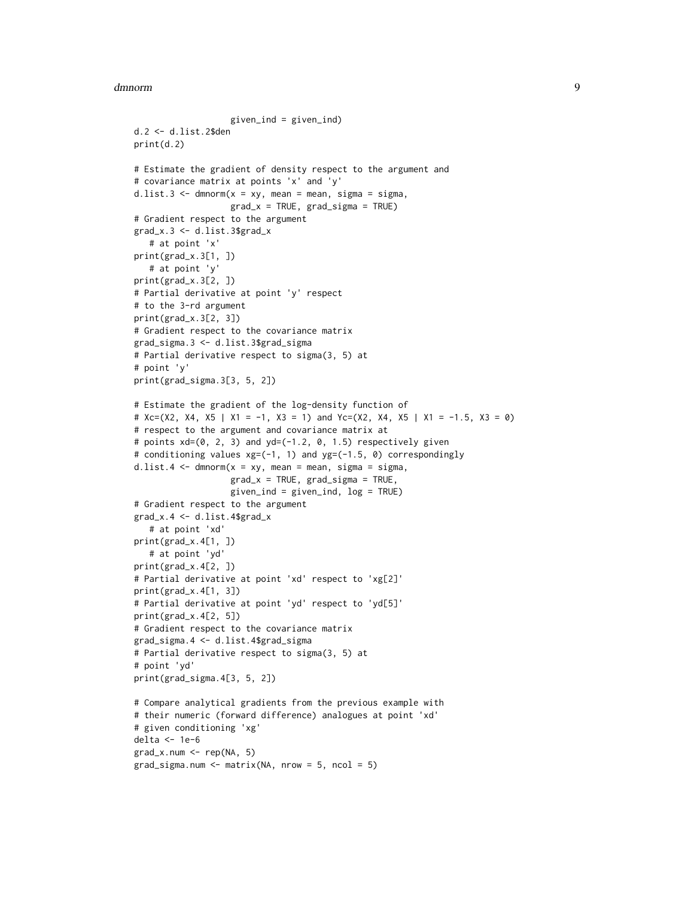#### dmnorm **9**

```
given_ind = given_ind)
d.2 <- d.list.2$den
print(d.2)
# Estimate the gradient of density respect to the argument and
# covariance matrix at points 'x' and 'y'
d.list.3 \leq dmnorm(x = xy, mean = mean, sigma = sigma,
                   grad_x = TRUE, grad_sigma = TRUE)# Gradient respect to the argument
grad_x.3 <- d.list.3$grad_x
   # at point 'x'
print(grad_x.3[1, ])
   # at point 'y'
print(grad_x.3[2, ])
# Partial derivative at point 'y' respect
# to the 3-rd argument
print(grad_x.3[2, 3])
# Gradient respect to the covariance matrix
grad_sigma.3 <- d.list.3$grad_sigma
# Partial derivative respect to sigma(3, 5) at
# point 'y'
print(grad_sigma.3[3, 5, 2])
# Estimate the gradient of the log-density function of
# Xc=(X2, X4, X5 | X1 = -1, X3 = 1) and Yc=(X2, X4, X5 | X1 = -1.5, X3 = 0)
# respect to the argument and covariance matrix at
# points xd=(0, 2, 3) and yd=(-1.2, 0, 1.5) respectively given
# conditioning values xg=(-1, 1) and yg=(-1.5, 0) correspondingly
d.list.4 \leq dmnorm(x = xy, mean = mean, sigma = sigma,
                   grad_x = TRUE, grad_sigma = TRUE,
                   given_ind = given_ind, log = TRUE)
# Gradient respect to the argument
grad_x.4 \leftarrow d.list.4\grad_x
   # at point 'xd'
print(grad_x.4[1, ])
   # at point 'yd'
print(grad_x.4[2, ])
# Partial derivative at point 'xd' respect to 'xg[2]'
print(grad_x.4[1, 3])
# Partial derivative at point 'yd' respect to 'yd[5]'
print(grad_x.4[2, 5])
# Gradient respect to the covariance matrix
grad_sigma.4 <- d.list.4$grad_sigma
# Partial derivative respect to sigma(3, 5) at
# point 'yd'
print(grad_sigma.4[3, 5, 2])
# Compare analytical gradients from the previous example with
# their numeric (forward difference) analogues at point 'xd'
# given conditioning 'xg'
delta <- 1e-6
grad_x.num <- rep(NA, 5)
grad_sigma.num < - matrix(NA, nrow = 5, ncol = 5)
```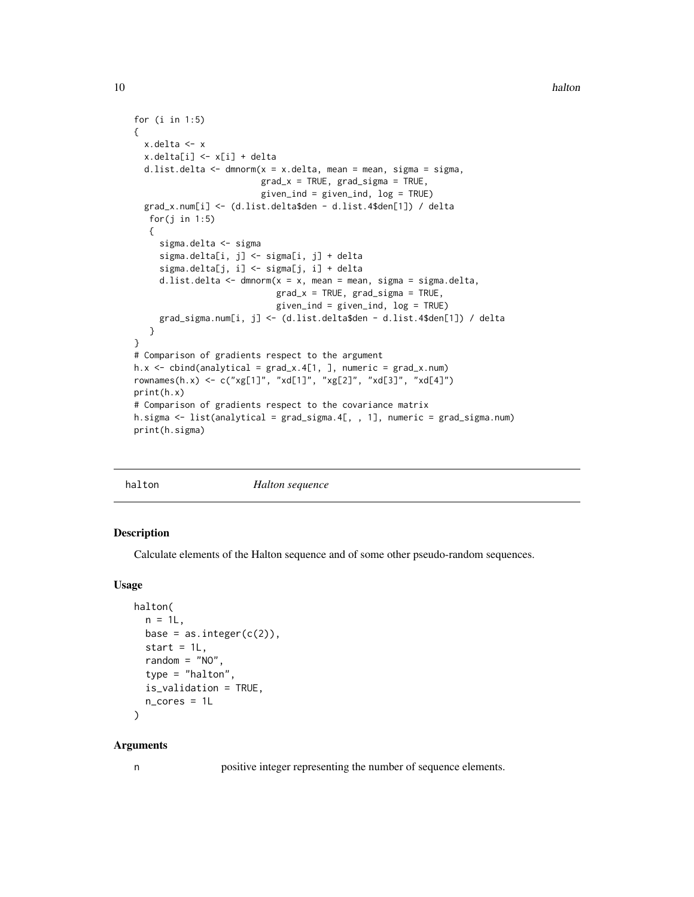```
for (i in 1:5)
{
 x.delta <- x
 x.delta[i] <- x[i] + delta
 d.list.delta \leq dmnorm(x = x.delta, mean = mean, sigma = sigma,
                          grad_x = TRUE, grad_sigma = TRUE,given_ind = given_ind, log = TRUE)
 grad_x.num[i] <- (d.list.delta$den - d.list.4$den[1]) / delta
   for(j in 1:5)
   {
     sigma.delta <- sigma
     sigma.delta[i, j] <- sigma[i, j] + delta
     sigma.delta[j, i] <- sigma[j, i] + delta
     d.list.delta <- dmnorm(x = x), mean = mean, sigma = sigma.delta,
                             grad_x = TRUE, grad_sigma = TRUE,
                             given_ind = given_ind, log = TRUE)
     grad_sigma.num[i, j] <- (d.list.delta$den - d.list.4$den[1]) / delta
   }
}
# Comparison of gradients respect to the argument
h.x \leq \text{cbind}(\text{analytical} = \text{grad}_x.4[1, ], \text{ numeric} = \text{grad}_x.\text{num})rownames(h.x) <- c("xg[1]", "xd[1]", "xg[2]", "xd[3]", "xd[4]")
print(h.x)
# Comparison of gradients respect to the covariance matrix
h.sigma <- list(analytical = grad_sigma.4[, , 1], numeric = grad_sigma.num)
print(h.sigma)
```
halton *Halton sequence*

#### Description

Calculate elements of the Halton sequence and of some other pseudo-random sequences.

#### Usage

```
halton(
  n = 1L,
  base = as.integer(c(2)),
  start = 1L,
  random = "NO",
  type = "halton",
  is_validation = TRUE,
  n_cores = 1L
\lambda
```
#### Arguments

n positive integer representing the number of sequence elements.

<span id="page-9-0"></span>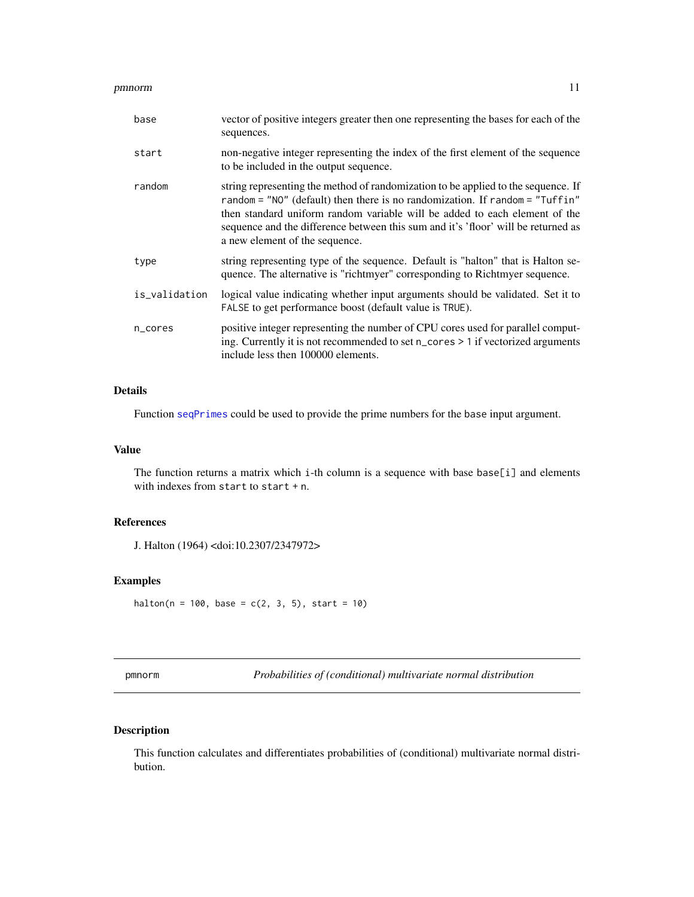<span id="page-10-0"></span>

| base          | vector of positive integers greater then one representing the bases for each of the<br>sequences.                                                                                                                                                                                                                                                                          |
|---------------|----------------------------------------------------------------------------------------------------------------------------------------------------------------------------------------------------------------------------------------------------------------------------------------------------------------------------------------------------------------------------|
| start         | non-negative integer representing the index of the first element of the sequence<br>to be included in the output sequence.                                                                                                                                                                                                                                                 |
| random        | string representing the method of randomization to be applied to the sequence. If<br>random = $"NO"$ (default) then there is no randomization. If random = $"Tuffin"$<br>then standard uniform random variable will be added to each element of the<br>sequence and the difference between this sum and it's 'floor' will be returned as<br>a new element of the sequence. |
| type          | string representing type of the sequence. Default is "halton" that is Halton se-<br>quence. The alternative is "richtmyer" corresponding to Richtmyer sequence.                                                                                                                                                                                                            |
| is_validation | logical value indicating whether input arguments should be validated. Set it to<br>FALSE to get performance boost (default value is TRUE).                                                                                                                                                                                                                                 |
| n_cores       | positive integer representing the number of CPU cores used for parallel comput-<br>ing. Currently it is not recommended to set n_cores > 1 if vectorized arguments<br>include less then 100000 elements.                                                                                                                                                                   |

#### Details

Function [seqPrimes](#page-19-1) could be used to provide the prime numbers for the base input argument.

#### Value

The function returns a matrix which i-th column is a sequence with base base[i] and elements with indexes from start to start + n.

#### References

J. Halton (1964) <doi:10.2307/2347972>

#### Examples

halton(n = 100, base =  $c(2, 3, 5)$ , start = 10)

pmnorm *Probabilities of (conditional) multivariate normal distribution*

#### Description

This function calculates and differentiates probabilities of (conditional) multivariate normal distribution.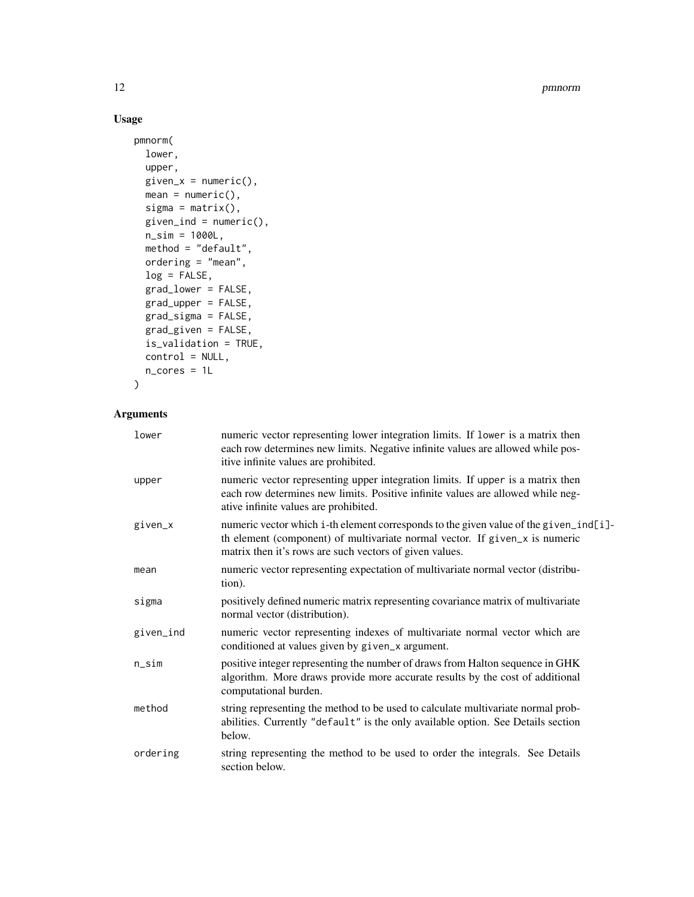12 **pmnorm** 

#### Usage

```
pmnorm(
  lower,
  upper,
 given_x = numeric(),mean = numeric(),sigma = matrix(),
 given_ind = numeric(),
 n_sim = 1000L,
 method = "default",
 ordering = "mean",
 log = FALSE,
 grad_lower = FALSE,
 grad_upper = FALSE,
 grad_sigma = FALSE,
 grad_given = FALSE,
  is_validation = TRUE,
 control = NULL,
 n_cores = 1L
\mathcal{L}
```
### Arguments

| lower     | numeric vector representing lower integration limits. If lower is a matrix then<br>each row determines new limits. Negative infinite values are allowed while pos-<br>itive infinite values are prohibited.                     |
|-----------|---------------------------------------------------------------------------------------------------------------------------------------------------------------------------------------------------------------------------------|
| upper     | numeric vector representing upper integration limits. If upper is a matrix then<br>each row determines new limits. Positive infinite values are allowed while neg-<br>ative infinite values are prohibited.                     |
| given_x   | numeric vector which i-th element corresponds to the given value of the given_ind[i]-<br>th element (component) of multivariate normal vector. If given_x is numeric<br>matrix then it's rows are such vectors of given values. |
| mean      | numeric vector representing expectation of multivariate normal vector (distribu-<br>tion).                                                                                                                                      |
| sigma     | positively defined numeric matrix representing covariance matrix of multivariate<br>normal vector (distribution).                                                                                                               |
| given_ind | numeric vector representing indexes of multivariate normal vector which are<br>conditioned at values given by given_x argument.                                                                                                 |
| n_sim     | positive integer representing the number of draws from Halton sequence in GHK<br>algorithm. More draws provide more accurate results by the cost of additional<br>computational burden.                                         |
| method    | string representing the method to be used to calculate multivariate normal prob-<br>abilities. Currently "default" is the only available option. See Details section<br>below.                                                  |
| ordering  | string representing the method to be used to order the integrals. See Details<br>section below.                                                                                                                                 |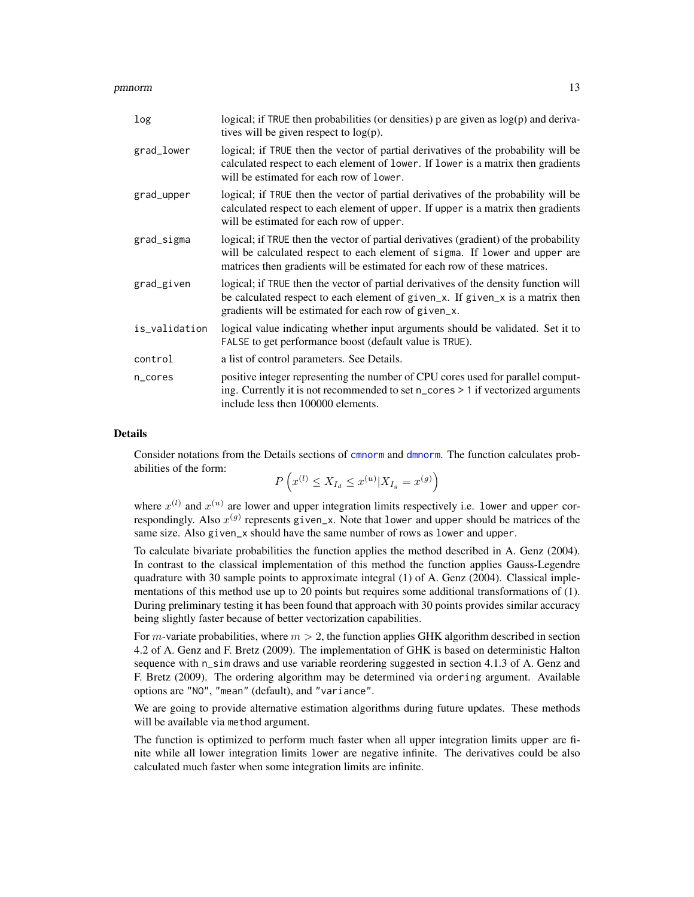<span id="page-12-0"></span>

| log           | logical; if TRUE then probabilities (or densities) $p$ are given as $log(p)$ and deriva-<br>tives will be given respect to $log(p)$ .                                                                                                             |
|---------------|---------------------------------------------------------------------------------------------------------------------------------------------------------------------------------------------------------------------------------------------------|
| grad_lower    | logical; if TRUE then the vector of partial derivatives of the probability will be<br>calculated respect to each element of lower. If lower is a matrix then gradients<br>will be estimated for each row of lower.                                |
| grad_upper    | logical; if TRUE then the vector of partial derivatives of the probability will be<br>calculated respect to each element of upper. If upper is a matrix then gradients<br>will be estimated for each row of upper.                                |
| grad_sigma    | logical; if TRUE then the vector of partial derivatives (gradient) of the probability<br>will be calculated respect to each element of sigma. If lower and upper are<br>matrices then gradients will be estimated for each row of these matrices. |
| grad_given    | logical; if TRUE then the vector of partial derivatives of the density function will<br>be calculated respect to each element of given_x. If given_x is a matrix then<br>gradients will be estimated for each row of given_x.                     |
| is_validation | logical value indicating whether input arguments should be validated. Set it to<br>FALSE to get performance boost (default value is TRUE).                                                                                                        |
| control       | a list of control parameters. See Details.                                                                                                                                                                                                        |
| n_cores       | positive integer representing the number of CPU cores used for parallel comput-<br>ing. Currently it is not recommended to set n_cores > 1 if vectorized arguments<br>include less then 100000 elements.                                          |

#### Details

Consider notations from the Details sections of [cmnorm](#page-1-1) and [dmnorm](#page-4-1). The function calculates probabilities of the form:

$$
P\left(x^{(l)} \le X_{I_d} \le x^{(u)} | X_{I_g} = x^{(g)}\right)
$$

where  $x^{(l)}$  and  $x^{(u)}$  are lower and upper integration limits respectively i.e. lower and upper correspondingly. Also  $x^{(g)}$  represents given\_x. Note that lower and upper should be matrices of the same size. Also given\_x should have the same number of rows as lower and upper.

To calculate bivariate probabilities the function applies the method described in A. Genz (2004). In contrast to the classical implementation of this method the function applies Gauss-Legendre quadrature with 30 sample points to approximate integral (1) of A. Genz (2004). Classical implementations of this method use up to 20 points but requires some additional transformations of (1). During preliminary testing it has been found that approach with 30 points provides similar accuracy being slightly faster because of better vectorization capabilities.

For m-variate probabilities, where  $m > 2$ , the function applies GHK algorithm described in section 4.2 of A. Genz and F. Bretz (2009). The implementation of GHK is based on deterministic Halton sequence with n\_sim draws and use variable reordering suggested in section 4.1.3 of A. Genz and F. Bretz (2009). The ordering algorithm may be determined via ordering argument. Available options are "NO", "mean" (default), and "variance".

We are going to provide alternative estimation algorithms during future updates. These methods will be available via method argument.

The function is optimized to perform much faster when all upper integration limits upper are finite while all lower integration limits lower are negative infinite. The derivatives could be also calculated much faster when some integration limits are infinite.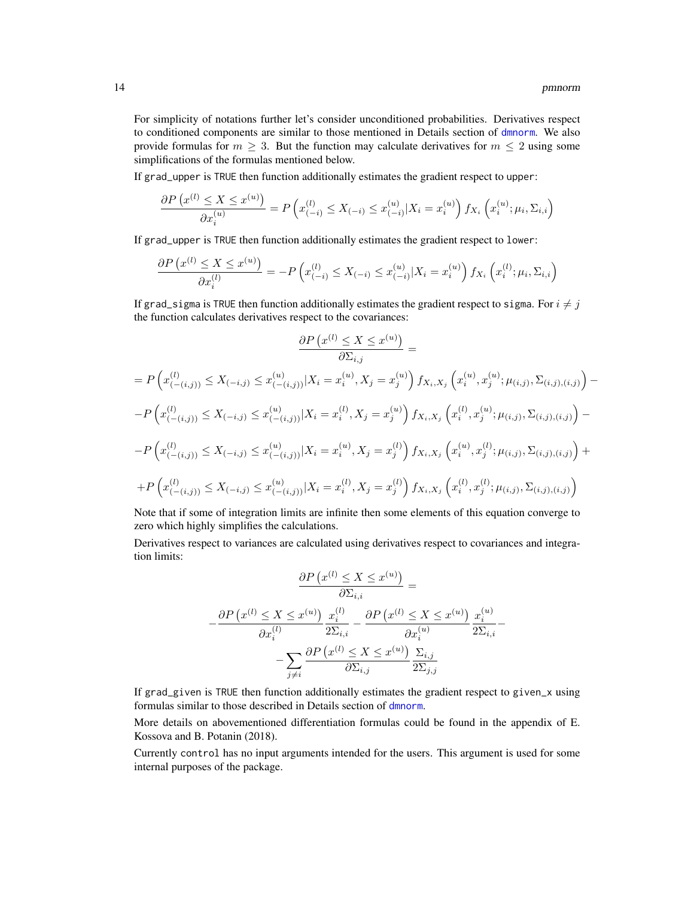<span id="page-13-0"></span>For simplicity of notations further let's consider unconditioned probabilities. Derivatives respect to conditioned components are similar to those mentioned in Details section of [dmnorm](#page-4-1). We also provide formulas for  $m \geq 3$ . But the function may calculate derivatives for  $m \leq 2$  using some simplifications of the formulas mentioned below.

If grad\_upper is TRUE then function additionally estimates the gradient respect to upper:

$$
\frac{\partial P\left(x^{(l)} \le X \le x^{(u)}\right)}{\partial x_i^{(u)}} = P\left(x_{(-i)}^{(l)} \le X_{(-i)} \le x_{(-i)}^{(u)} | X_i = x_i^{(u)}\right) f_{X_i}\left(x_i^{(u)}; \mu_i, \Sigma_{i,i}\right)
$$

If grad\_upper is TRUE then function additionally estimates the gradient respect to lower:

$$
\frac{\partial P\left(x^{(l)} \le X \le x^{(u)}\right)}{\partial x_i^{(l)}} = -P\left(x_{(-i)}^{(l)} \le X_{(-i)} \le x_{(-i)}^{(u)} | X_i = x_i^{(u)}\right) f_{X_i}\left(x_i^{(l)}; \mu_i, \Sigma_{i,i}\right)
$$

If grad\_sigma is TRUE then function additionally estimates the gradient respect to sigma. For  $i \neq j$ the function calculates derivatives respect to the covariances:

$$
\frac{\partial P(x^{(l)} \leq X \leq x^{(u)})}{\partial \Sigma_{i,j}} =
$$
\n
$$
= P\left(x_{(-i,j)}^{(l)} \leq X_{(-i,j)} \leq x_{(-i,j)}^{(u)} | X_i = x_i^{(u)}, X_j = x_j^{(u)}\right) f_{X_i, X_j} \left(x_i^{(u)}, x_j^{(u)}; \mu_{(i,j)}, \Sigma_{(i,j),(i,j)}\right) -
$$
\n
$$
- P\left(x_{(-i,j)}^{(l)} \leq X_{(-i,j)} \leq x_{(-i,j)}^{(u)} | X_i = x_i^{(l)}, X_j = x_j^{(u)}\right) f_{X_i, X_j} \left(x_i^{(l)}, x_j^{(u)}; \mu_{(i,j)}, \Sigma_{(i,j),(i,j)}\right) -
$$
\n
$$
- P\left(x_{(-i,j)}^{(l)} \leq X_{(-i,j)} \leq x_{(-i,j)}^{(u)} | X_i = x_i^{(u)}, X_j = x_j^{(l)}\right) f_{X_i, X_j} \left(x_i^{(u)}, x_j^{(l)}; \mu_{(i,j)}, \Sigma_{(i,j),(i,j)}\right) +
$$
\n
$$
+ P\left(x_{(-i,j)}^{(l)} \leq X_{(-i,j)} \leq x_{(-i,j)}^{(u)} | X_i = x_i^{(l)}, X_j = x_j^{(l)}\right) f_{X_i, X_j} \left(x_i^{(l)}, x_j^{(l)}; \mu_{(i,j)}, \Sigma_{(i,j),(i,j)}\right)
$$

Note that if some of integration limits are infinite then some elements of this equation converge to zero which highly simplifies the calculations.

Derivatives respect to variances are calculated using derivatives respect to covariances and integration limits:

$$
\frac{\partial P\left(x^{(l)} \le X \le x^{(u)}\right)}{\partial \Sigma_{i,i}} = \frac{\partial P\left(x^{(l)} \le X \le x^{(u)}\right)}{\partial x_i^{(l)}} \frac{x_i^{(l)}}{2\Sigma_{i,i}} - \frac{\partial P\left(x^{(l)} \le X \le x^{(u)}\right)}{\partial x_i^{(u)}} \frac{x_i^{(u)}}{2\Sigma_{i,i}} - \frac{\sum_{i,j} \partial P\left(x^{(l)} \le X \le x^{(u)}\right)}{\partial \Sigma_{i,j}} \frac{\Sigma_{i,j}}{2\Sigma_{j,j}}
$$

If grad\_given is TRUE then function additionally estimates the gradient respect to given\_x using formulas similar to those described in Details section of [dmnorm](#page-4-1).

More details on abovementioned differentiation formulas could be found in the appendix of E. Kossova and B. Potanin (2018).

Currently control has no input arguments intended for the users. This argument is used for some internal purposes of the package.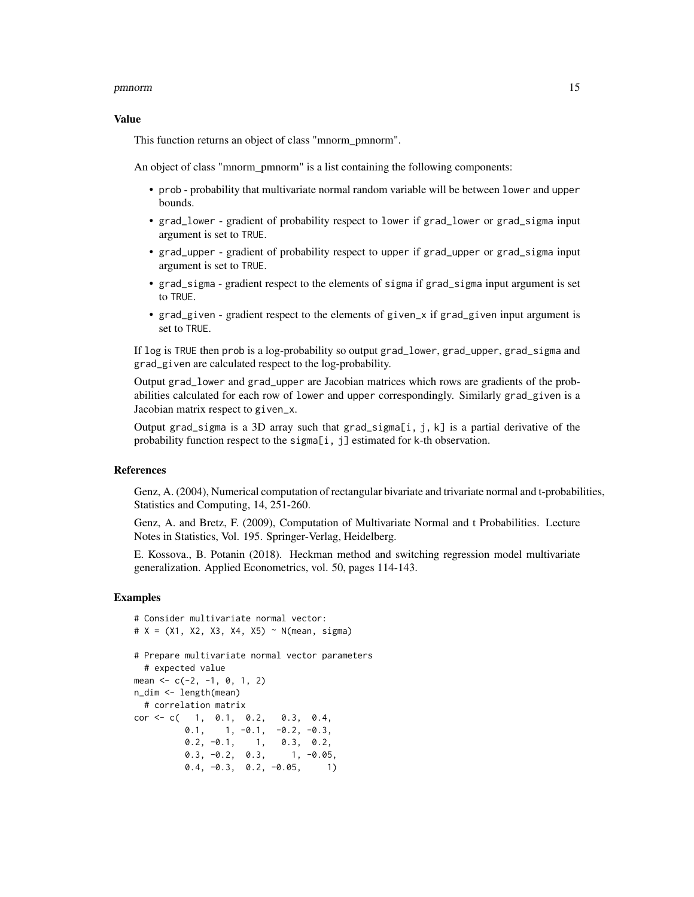#### Value

This function returns an object of class "mnorm pmnorm".

An object of class "mnorm\_pmnorm" is a list containing the following components:

- prob probability that multivariate normal random variable will be between lower and upper bounds.
- grad\_lower gradient of probability respect to lower if grad\_lower or grad\_sigma input argument is set to TRUE.
- grad\_upper gradient of probability respect to upper if grad\_upper or grad\_sigma input argument is set to TRUE.
- grad\_sigma gradient respect to the elements of sigma if grad\_sigma input argument is set to TRUE.
- grad\_given gradient respect to the elements of given\_x if grad\_given input argument is set to TRUE.

If log is TRUE then prob is a log-probability so output grad\_lower, grad\_upper, grad\_sigma and grad\_given are calculated respect to the log-probability.

Output grad\_lower and grad\_upper are Jacobian matrices which rows are gradients of the probabilities calculated for each row of lower and upper correspondingly. Similarly grad\_given is a Jacobian matrix respect to given\_x.

Output grad\_sigma is a 3D array such that grad\_sigma[i, j, k] is a partial derivative of the probability function respect to the sigma[i, j] estimated for k-th observation.

#### References

Genz, A. (2004), Numerical computation of rectangular bivariate and trivariate normal and t-probabilities, Statistics and Computing, 14, 251-260.

Genz, A. and Bretz, F. (2009), Computation of Multivariate Normal and t Probabilities. Lecture Notes in Statistics, Vol. 195. Springer-Verlag, Heidelberg.

E. Kossova., B. Potanin (2018). Heckman method and switching regression model multivariate generalization. Applied Econometrics, vol. 50, pages 114-143.

#### Examples

```
# Consider multivariate normal vector:
# X = (X1, X2, X3, X4, X5) ~ N(mean, sigma)# Prepare multivariate normal vector parameters
 # expected value
mean \leq -c(-2, -1, 0, 1, 2)n_dim <- length(mean)
 # correlation matrix
cor <- c( 1, 0.1, 0.2, 0.3, 0.4,
         0.1, 1, -0.1, -0.2, -0.3,0.2, -0.1, 1, 0.3, 0.2,
         0.3, -0.2, 0.3, 1, -0.05,0.4, -0.3, 0.2, -0.05, 1)
```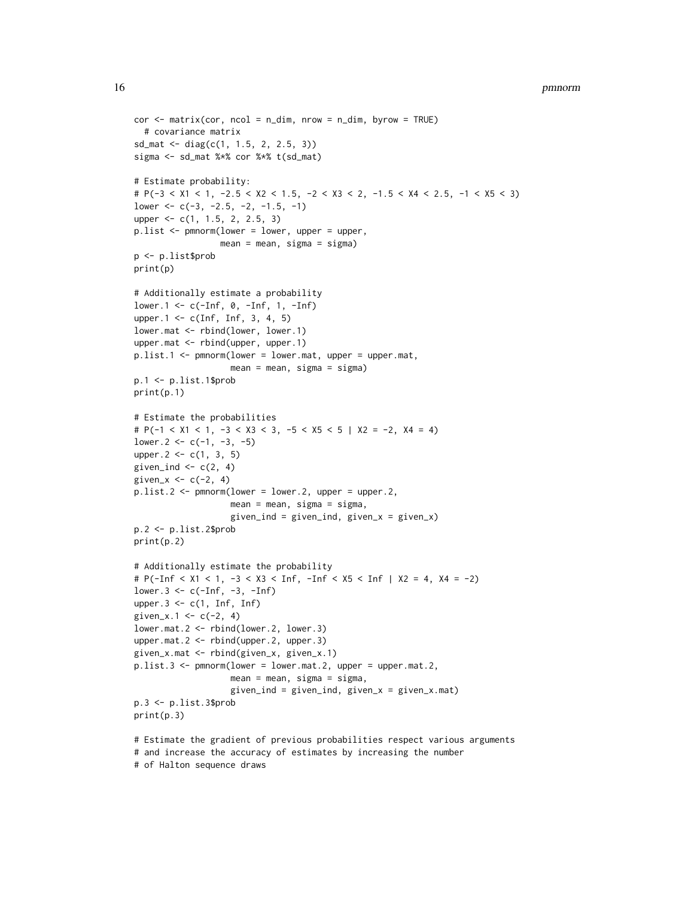#### 16 **pmnorm**

```
cor < - matrix(cor, ncol = n_dim, nrow = n_dim, byrow = TRUE)
  # covariance matrix
sd_mat <- diag(c(1, 1.5, 2, 2.5, 3))
sigma <- sd_mat %*% cor %*% t(sd_mat)
# Estimate probability:
# P(-3 < X1 < 1, -2.5 < X2 < 1.5, -2 < X3 < 2, -1.5 < X4 < 2.5, -1 < X5 < 3)
lower < -c(-3, -2.5, -2, -1.5, -1)upper <- c(1, 1.5, 2, 2.5, 3)
p.list <- pmnorm(lower = lower, upper = upper,
                 mean = mean, sigma = sigma)
p <- p.list$prob
print(p)
# Additionally estimate a probability
lower.1 <- c(-Inf, 0, -Inf, 1, -Inf)
upper.1 <- c(Inf, Inf, 3, 4, 5)
lower.mat <- rbind(lower, lower.1)
upper.mat <- rbind(upper, upper.1)
p.list.1 <- pmnorm(lower = lower.mat, upper = upper.mat,
                   mean = mean, sigma = sigma)
p.1 <- p.list.1$prob
print(p.1)
# Estimate the probabilities
# P(-1 < X1 < 1, -3 < X3 < 3, -5 < X5 < 5 | X2 = -2, X4 = 4)
lower.2 < -c(-1, -3, -5)upper.2 \leq \leq \leq (1, 3, 5)given_ind \leftarrow c(2, 4)
given_x \leftarrow c(-2, 4)p.list.2 <- pmnorm(lower = lower.2, upper = upper.2,
                   mean = mean, sigma = sigma,
                   given\_ind = given\_ind, given_x = given_x)p.2 <- p.list.2$prob
print(p.2)
# Additionally estimate the probability
# P(-Inf < X1 < 1, -3 < X3 < Inf, -Inf < X5 < Inf | X2 = 4, X4 = -2)
lower.3 <- c(-Inf, -3, -Inf)
upper.3 \leq c(1, \ln f, \ln f)given_x.1 <- c(-2, 4)lower.mat.2 <- rbind(lower.2, lower.3)
upper.mat.2 <- rbind(upper.2, upper.3)
given_x.mat <- rbind(given_x, given_x.1)
p.list.3 <- pmnorm(lower = lower.mat.2, upper = upper.mat.2,
                   mean = mean, sigma = sigma,
                   given_ind = given_ind, given_x = given_x.mat)
p.3 <- p.list.3$prob
print(p.3)
```

```
# Estimate the gradient of previous probabilities respect various arguments
# and increase the accuracy of estimates by increasing the number
# of Halton sequence draws
```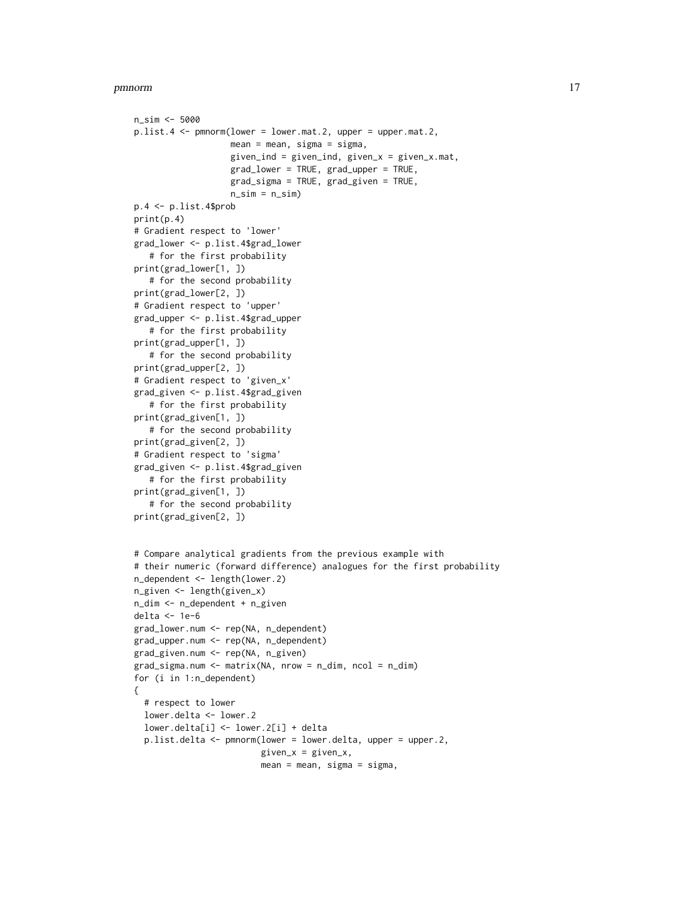```
n_sim <- 5000
p.list.4 <- pmnorm(lower = lower.mat.2, upper = upper.mat.2,
                   mean = mean, sigma = sigma,
                   given_ind = given_ind, given_x = given_x.mat,
                   grad_lower = TRUE, grad_upper = TRUE,
                   grad_sigma = TRUE, grad_given = TRUE,
                   n_sim = n_sim)
p.4 <- p.list.4$prob
print(p.4)
# Gradient respect to 'lower'
grad_lower <- p.list.4$grad_lower
   # for the first probability
print(grad_lower[1, ])
   # for the second probability
print(grad_lower[2, ])
# Gradient respect to 'upper'
grad_upper <- p.list.4$grad_upper
   # for the first probability
print(grad_upper[1, ])
   # for the second probability
print(grad_upper[2, ])
# Gradient respect to 'given_x'
grad_given <- p.list.4$grad_given
   # for the first probability
print(grad_given[1, ])
   # for the second probability
print(grad_given[2, ])
# Gradient respect to 'sigma'
grad_given <- p.list.4$grad_given
   # for the first probability
print(grad_given[1, ])
   # for the second probability
print(grad_given[2, ])
# Compare analytical gradients from the previous example with
# their numeric (forward difference) analogues for the first probability
n_dependent <- length(lower.2)
n_given <- length(given_x)
n_dim <- n_dependent + n_given
delta <- 1e-6
grad_lower.num <- rep(NA, n_dependent)
grad_upper.num <- rep(NA, n_dependent)
grad_given.num <- rep(NA, n_given)
grad_sigma.num <- matrix(NA, nrow = n_dim, ncol = n_dim)
for (i in 1:n_dependent)
{
  # respect to lower
  lower.delta <- lower.2
  lower.delta[i] <- lower.2[i] + delta
  p.list.delta <- pmnorm(lower = lower.delta, upper = upper.2,
                         given_x = given_x,
                         mean = mean, sigma = sigma,
```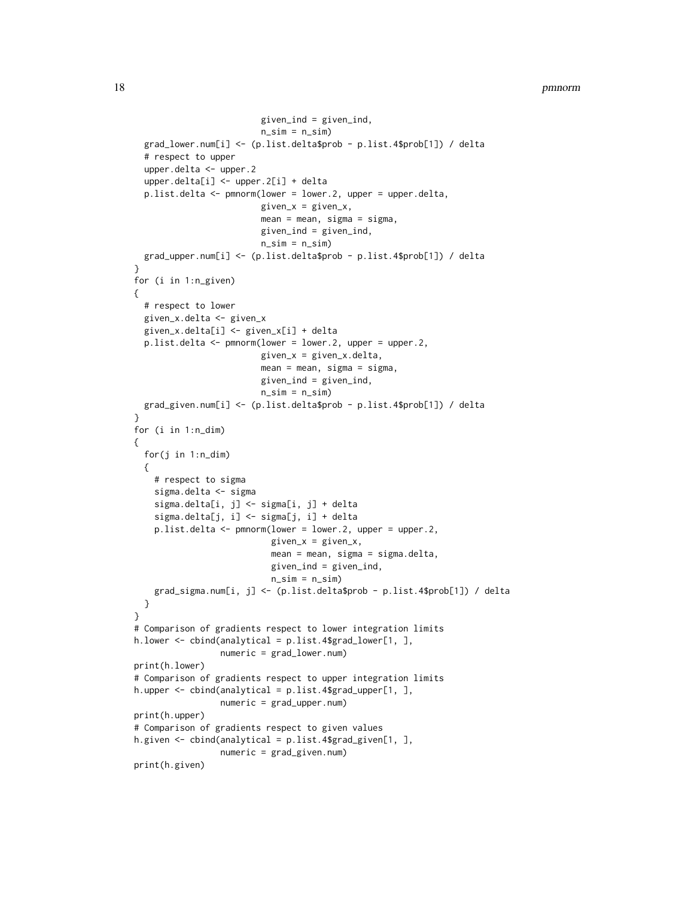```
given_ind = given_ind,
                         n_sim = n_sim)
 grad_lower.num[i] <- (p.list.delta$prob - p.list.4$prob[1]) / delta
 # respect to upper
 upper.delta <- upper.2
 upper.delta[i] <- upper.2[i] + delta
 p.list.delta <- pmnorm(lower = lower.2, upper = upper.delta,
                         given_x = given_x,
                         mean = mean, sigma = sigma,
                        given_ind = given_ind,
                        n_sim = n_sim)grad_upper.num[i] <- (p.list.delta$prob - p.list.4$prob[1]) / delta
}
for (i in 1:n_given)
{
 # respect to lower
 given_x.delta <- given_x
 given_x.delta[i] <- given_x[i] + delta
 p.list.delta <- pmnorm(lower = lower.2, upper = upper.2,
                        given_x = given_x.delta,mean = mean, sigma = sigma,
                         given_ind = given_ind,
                        n\_sim = n\_sim)
 grad_given.num[i] <- (p.list.delta$prob - p.list.4$prob[1]) / delta
}
for (i in 1:n_dim)
{
 for(j in 1:n_dim)
 {
   # respect to sigma
    sigma.delta <- sigma
    sigma.delta[i, j] <- sigma[i, j] + delta
    sigma.delta[j, i] <- sigma[j, i] + delta
   p.list.delta <- pmnorm(lower = lower.2, upper = upper.2,
                           given_x = given_x,
                           mean = mean, sigma = sigma.delta,
                           given_ind = given_ind,
                           n_sim = n_sim)
   grad_sigma.num[i, j] <- (p.list.delta$prob - p.list.4$prob[1]) / delta
 }
}
# Comparison of gradients respect to lower integration limits
h.lower <- cbind(analytical = p.list.4$grad_lower[1, ],
                 numeric = grad_lower.num)
print(h.lower)
# Comparison of gradients respect to upper integration limits
h.upper <- cbind(analytical = p.list.4$grad_upper[1, ],
                 numeric = grad_upper.num)
print(h.upper)
# Comparison of gradients respect to given values
h.given <- cbind(analytical = p.list.4$grad_given[1, ],
                 numeric = grad_given.num)
print(h.given)
```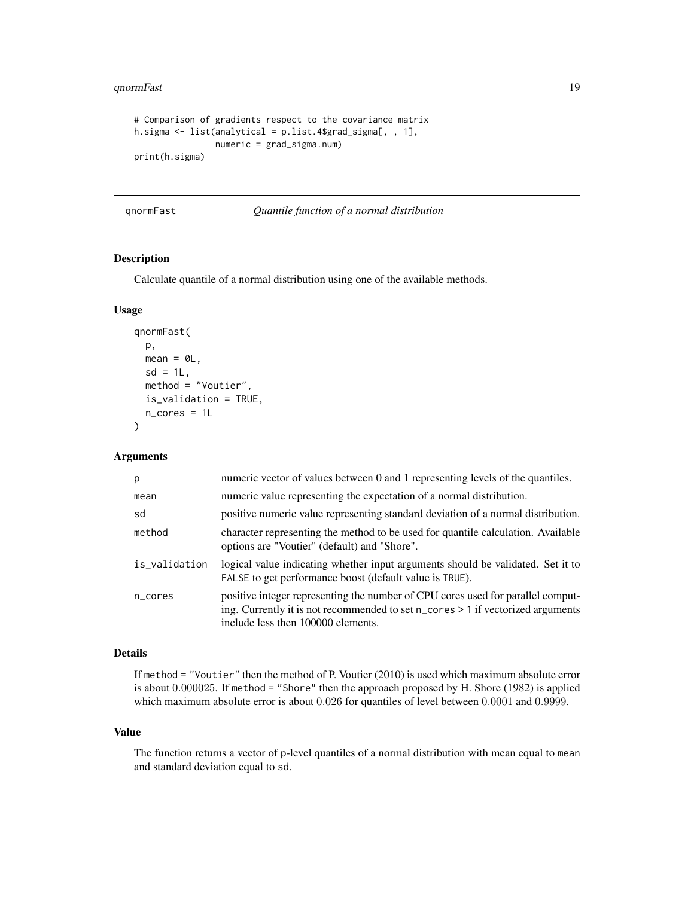#### <span id="page-18-0"></span>qnormFast 19

```
# Comparison of gradients respect to the covariance matrix
h.sigma <- list(analytical = p.list.4$grad_sigma[, , 1],
                numeric = grad_sigma.num)
print(h.sigma)
```
qnormFast *Quantile function of a normal distribution*

#### Description

Calculate quantile of a normal distribution using one of the available methods.

#### Usage

```
qnormFast(
 p,
 mean = 0L,
 sd = 1L,
 method = "Voutier",
 is_validation = TRUE,
 n_cores = 1L
)
```
#### Arguments

| p             | numeric vector of values between 0 and 1 representing levels of the quantiles.                                                                                                                           |
|---------------|----------------------------------------------------------------------------------------------------------------------------------------------------------------------------------------------------------|
| mean          | numeric value representing the expectation of a normal distribution.                                                                                                                                     |
| sd            | positive numeric value representing standard deviation of a normal distribution.                                                                                                                         |
| method        | character representing the method to be used for quantile calculation. Available<br>options are "Voutier" (default) and "Shore".                                                                         |
| is_validation | logical value indicating whether input arguments should be validated. Set it to<br>FALSE to get performance boost (default value is TRUE).                                                               |
| n_cores       | positive integer representing the number of CPU cores used for parallel comput-<br>ing. Currently it is not recommended to set n_cores > 1 if vectorized arguments<br>include less then 100000 elements. |

#### Details

If method = "Voutier" then the method of P. Voutier (2010) is used which maximum absolute error is about 0.000025. If method = "Shore" then the approach proposed by H. Shore (1982) is applied which maximum absolute error is about 0.026 for quantiles of level between 0.0001 and 0.9999.

#### Value

The function returns a vector of p-level quantiles of a normal distribution with mean equal to mean and standard deviation equal to sd.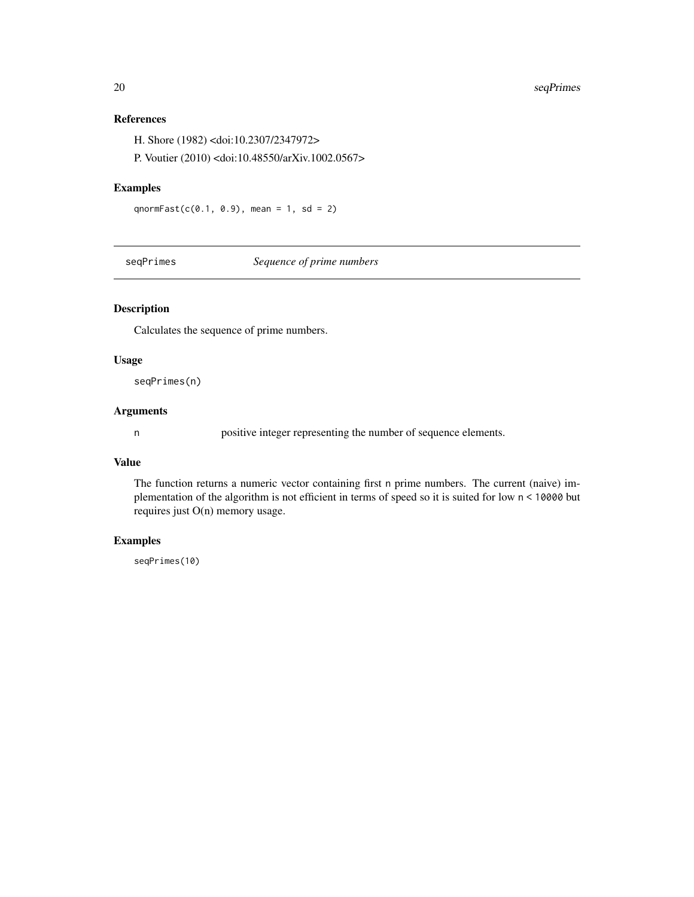#### References

H. Shore (1982) <doi:10.2307/2347972>

P. Voutier (2010) <doi:10.48550/arXiv.1002.0567>

#### Examples

qnormFast(c(0.1, 0.9), mean = 1, sd = 2)

<span id="page-19-1"></span>seqPrimes *Sequence of prime numbers*

#### Description

Calculates the sequence of prime numbers.

#### Usage

seqPrimes(n)

### Arguments

n positive integer representing the number of sequence elements.

#### Value

The function returns a numeric vector containing first n prime numbers. The current (naive) implementation of the algorithm is not efficient in terms of speed so it is suited for low n < 10000 but requires just O(n) memory usage.

#### Examples

seqPrimes(10)

<span id="page-19-0"></span>